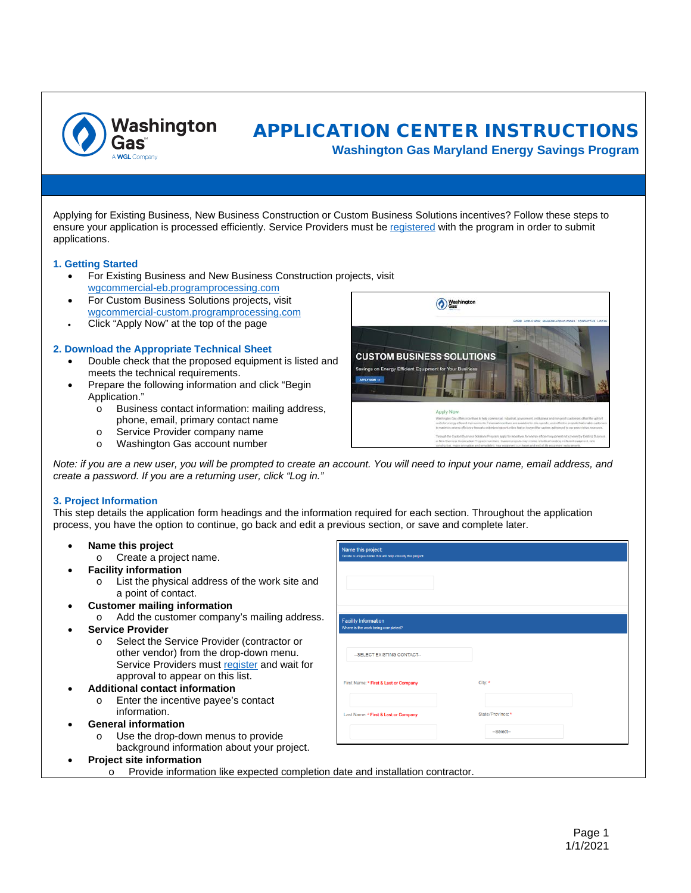

# APPLICATION CENTER INSTRUCTIONS

**Washington Gas Maryland Energy Savings Program**

Applying for Existing Business, New Business Construction or Custom Business Solutions incentives? Follow these steps to ensure your application is processed efficiently. Service Providers must be [registered](https://wgcp.programprocessing.com/) with the program in order to submit applications.

## **1. Getting Started**

- For Existing Business and New Business Construction projects, visit [wgcommercial-eb.programprocessing.com](https://wgcommercial-eb.programprocessing.com/)
- For Custom Business Solutions projects, visit [wgcommercial-custom.programprocessing.com](https://wgcommercial-custom.programprocessing.com/)
- Click "Apply Now" at the top of the page

#### **2. Download the Appropriate Technical Sheet**

- Double check that the proposed equipment is listed and meets the technical requirements.
- Prepare the following information and click "Begin Application."
	- o Business contact information: mailing address, phone, email, primary contact name
	- o Service Provider company name<br>
	o Washington Gas account number
	- Washington Gas account number



City:

State/Province:

-Select-

*Note: if you are a new user, you will be prompted to create an account. You will need to input your name, email address, and create a password. If you are a returning user, click "Log in."*

**Jame this project** 

**Facility Information** 

-SELECT EXISTING CONTACT-

First Name: \* First & Last or Company

## **3. Project Information**

This step details the application form headings and the information required for each section. Throughout the application process, you have the option to continue, go back and edit a previous section, or save and complete later.

- **Name this project**
	- o Create a project name.
- **Facility information**
	- o List the physical address of the work site and a point of contact.
- **Customer mailing information**
	- o Add the customer company's mailing address.
- **Service Provider**
	- o Select the Service Provider (contractor or other vendor) from the drop-down menu. Service Providers must [register](https://wgcp.programprocessing.com/) and wait for approval to appear on this list.
- **Additional contact information**
	- o Enter the incentive payee's contact information.
- **General information**
	- Use the drop-down menus to provide background information about your project.
- Last Name: \* First & Last or Com
	- **Project site information**
		- o Provide information like expected completion date and installation contractor.